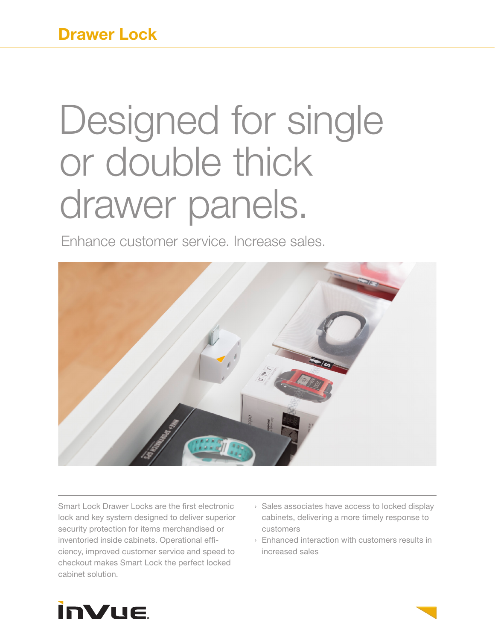# Designed for single or double thick drawer panels.

Enhance customer service. Increase sales.



Smart Lock Drawer Locks are the first electronic lock and key system designed to deliver superior security protection for items merchandised or inventoried inside cabinets. Operational efficiency, improved customer service and speed to checkout makes Smart Lock the perfect locked cabinet solution.

- › Sales associates have access to locked display cabinets, delivering a more timely response to customers
- › Enhanced interaction with customers results in increased sales

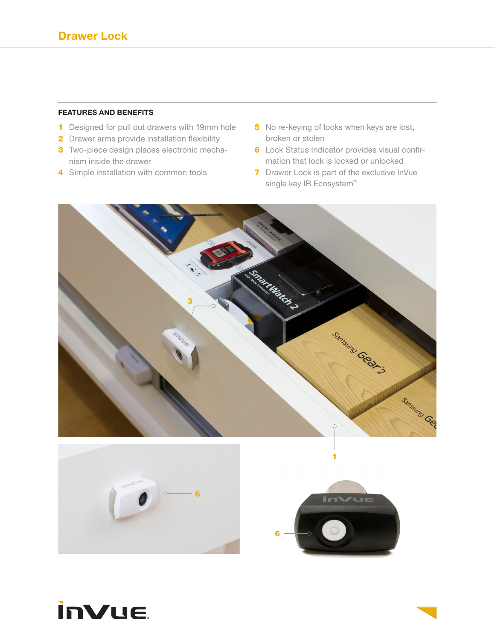### **FEATURES AND BENEFITS**

- 1 Designed for pull out drawers with 19mm hole
- 2 Drawer arms provide installation flexibility
- **3** Two-piece design places electronic mechanism inside the drawer
- 4 Simple installation with common tools
- 5 No re-keying of locks when keys are lost, broken or stolen
- 6 Lock Status Indicator provides visual confirmation that lock is locked or unlocked
- 7 Drawer Lock is part of the exclusive InVue single key IR Ecosystem<sup>™</sup>







1



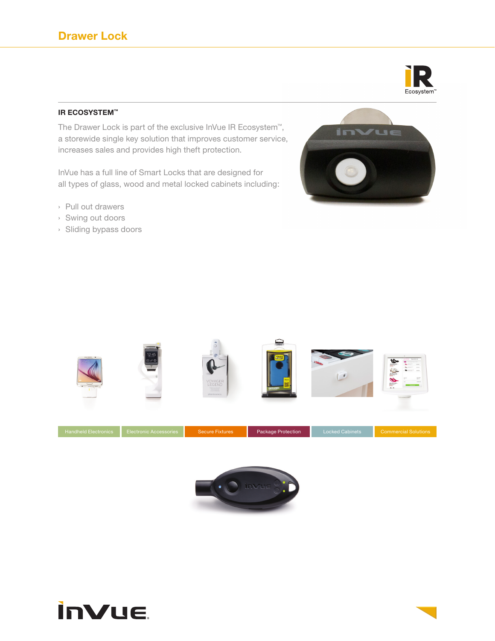

## **IR ECOSYSTEM™**

The Drawer Lock is part of the exclusive InVue IR Ecosystem™, a storewide single key solution that improves customer service, increases sales and provides high theft protection.

InVue has a full line of Smart Locks that are designed for all types of glass, wood and metal locked cabinets including:

- › Pull out drawers
- › Swing out doors
- › Sliding bypass doors







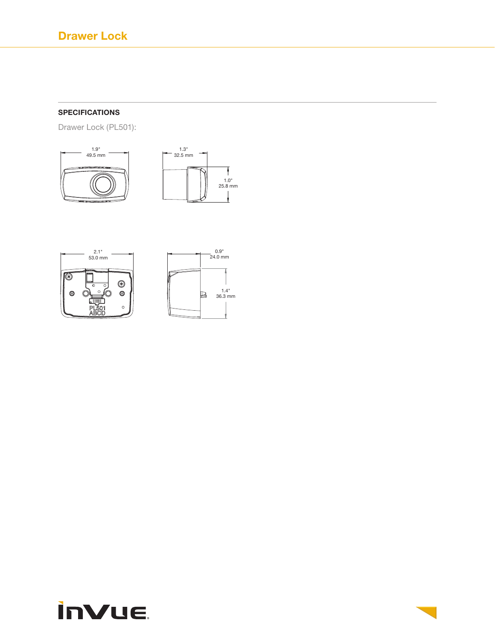# **SPECIFICATIONS**

Drawer Lock (PL501):